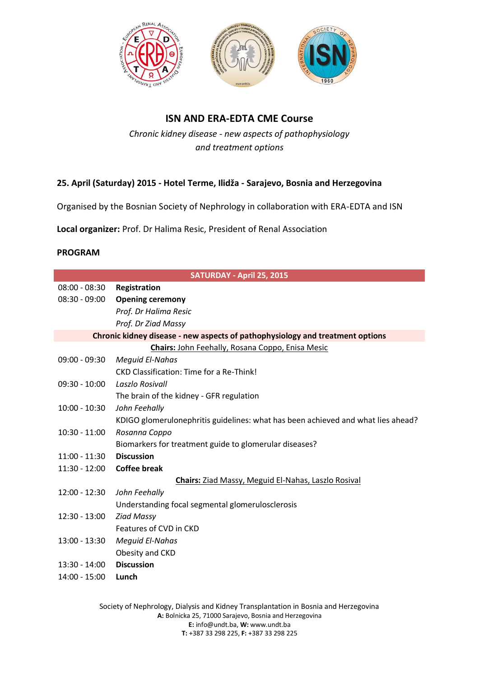



## **ISN AND ERA-EDTA CME Course**

*Chronic kidney disease - new aspects of pathophysiology and treatment options*

## **25. April (Saturday) 2015 - Hotel Terme, Ilidža - Sarajevo, Bosnia and Herzegovina**

Organised by the Bosnian Society of Nephrology in collaboration with ERA-EDTA and ISN

**Local organizer:** Prof. Dr Halima Resic, President of Renal Association

## **PROGRAM**

| SATURDAY - April 25, 2015                                                     |                                                                                  |
|-------------------------------------------------------------------------------|----------------------------------------------------------------------------------|
| $08:00 - 08:30$                                                               | Registration                                                                     |
| 08:30 - 09:00                                                                 | <b>Opening ceremony</b>                                                          |
|                                                                               | Prof. Dr Halima Resic                                                            |
|                                                                               | Prof. Dr Ziad Massy                                                              |
| Chronic kidney disease - new aspects of pathophysiology and treatment options |                                                                                  |
|                                                                               | Chairs: John Feehally, Rosana Coppo, Enisa Mesic                                 |
| $09:00 - 09:30$                                                               | <b>Mequid El-Nahas</b>                                                           |
|                                                                               | <b>CKD Classification: Time for a Re-Think!</b>                                  |
| $09:30 - 10:00$                                                               | Laszlo Rosivall                                                                  |
|                                                                               | The brain of the kidney - GFR regulation                                         |
| $10:00 - 10:30$                                                               | John Feehally                                                                    |
|                                                                               | KDIGO glomerulonephritis guidelines: what has been achieved and what lies ahead? |
| $10:30 - 11:00$                                                               | Rosanna Coppo                                                                    |
|                                                                               | Biomarkers for treatment guide to glomerular diseases?                           |
| 11:00 - 11:30                                                                 | <b>Discussion</b>                                                                |
| 11:30 - 12:00                                                                 | <b>Coffee break</b>                                                              |
| <b>Chairs:</b> Ziad Massy, Meguid El-Nahas, Laszlo Rosival                    |                                                                                  |
| $12:00 - 12:30$                                                               | John Feehally                                                                    |
|                                                                               | Understanding focal segmental glomerulosclerosis                                 |
| $12:30 - 13:00$                                                               | <b>Ziad Massy</b>                                                                |
|                                                                               | Features of CVD in CKD                                                           |
| 13:00 - 13:30                                                                 | <b>Meguid El-Nahas</b>                                                           |
|                                                                               | Obesity and CKD                                                                  |
| $13:30 - 14:00$                                                               | <b>Discussion</b>                                                                |
| $14:00 - 15:00$                                                               | Lunch                                                                            |
|                                                                               |                                                                                  |

Society of Nephrology, Dialysis and Kidney Transplantation in Bosnia and Herzegovina **A:** Bolnicka 25, 71000 Sarajevo, Bosnia and Herzegovina **E:** info@undt.ba, **W:** www.undt.ba **T:** +387 33 298 225, **F:** +387 33 298 225